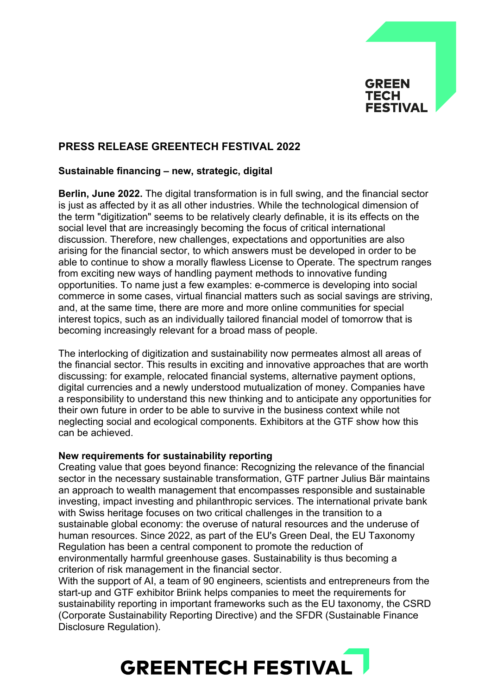

# **PRESS RELEASE GREENTECH FESTIVAL 2022**

## **Sustainable financing – new, strategic, digital**

**Berlin, June 2022.** The digital transformation is in full swing, and the financial sector is just as affected by it as all other industries. While the technological dimension of the term "digitization" seems to be relatively clearly definable, it is its effects on the social level that are increasingly becoming the focus of critical international discussion. Therefore, new challenges, expectations and opportunities are also arising for the financial sector, to which answers must be developed in order to be able to continue to show a morally flawless License to Operate. The spectrum ranges from exciting new ways of handling payment methods to innovative funding opportunities. To name just a few examples: e-commerce is developing into social commerce in some cases, virtual financial matters such as social savings are striving, and, at the same time, there are more and more online communities for special interest topics, such as an individually tailored financial model of tomorrow that is becoming increasingly relevant for a broad mass of people.

The interlocking of digitization and sustainability now permeates almost all areas of the financial sector. This results in exciting and innovative approaches that are worth discussing: for example, relocated financial systems, alternative payment options, digital currencies and a newly understood mutualization of money. Companies have a responsibility to understand this new thinking and to anticipate any opportunities for their own future in order to be able to survive in the business context while not neglecting social and ecological components. Exhibitors at the GTF show how this can be achieved.

### **New requirements for sustainability reporting**

Creating value that goes beyond finance: Recognizing the relevance of the financial sector in the necessary sustainable transformation, GTF partner Julius Bär maintains an approach to wealth management that encompasses responsible and sustainable investing, impact investing and philanthropic services. The international private bank with Swiss heritage focuses on two critical challenges in the transition to a sustainable global economy: the overuse of natural resources and the underuse of human resources. Since 2022, as part of the EU's Green Deal, the EU Taxonomy Regulation has been a central component to promote the reduction of environmentally harmful greenhouse gases. Sustainability is thus becoming a criterion of risk management in the financial sector.

With the support of AI, a team of 90 engineers, scientists and entrepreneurs from the start-up and GTF exhibitor Briink helps companies to meet the requirements for sustainability reporting in important frameworks such as the EU taxonomy, the CSRD (Corporate Sustainability Reporting Directive) and the SFDR (Sustainable Finance Disclosure Regulation).

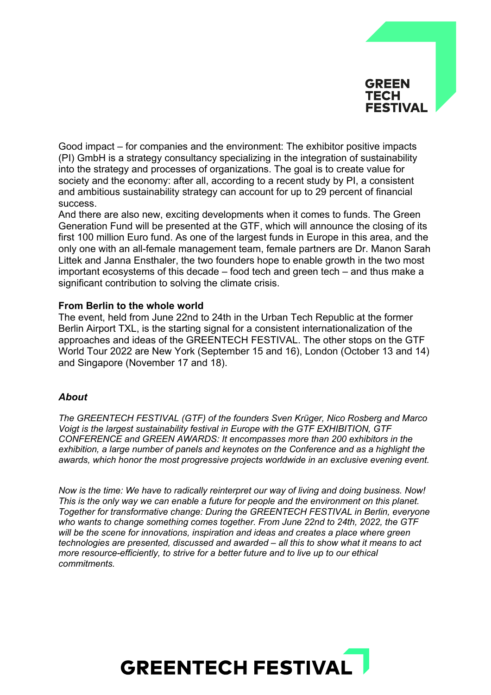

Good impact – for companies and the environment: The exhibitor positive impacts (PI) GmbH is a strategy consultancy specializing in the integration of sustainability into the strategy and processes of organizations. The goal is to create value for society and the economy: after all, according to a recent study by PI, a consistent and ambitious sustainability strategy can account for up to 29 percent of financial success.

And there are also new, exciting developments when it comes to funds. The Green Generation Fund will be presented at the GTF, which will announce the closing of its first 100 million Euro fund. As one of the largest funds in Europe in this area, and the only one with an all-female management team, female partners are Dr. Manon Sarah Littek and Janna Ensthaler, the two founders hope to enable growth in the two most important ecosystems of this decade – food tech and green tech – and thus make a significant contribution to solving the climate crisis.

### **From Berlin to the whole world**

The event, held from June 22nd to 24th in the Urban Tech Republic at the former Berlin Airport TXL, is the starting signal for a consistent internationalization of the approaches and ideas of the GREENTECH FESTIVAL. The other stops on the GTF World Tour 2022 are New York (September 15 and 16), London (October 13 and 14) and Singapore (November 17 and 18).

### *About*

*The GREENTECH FESTIVAL (GTF) of the founders Sven Krüger, Nico Rosberg and Marco Voigt is the largest sustainability festival in Europe with the GTF EXHIBITION, GTF CONFERENCE and GREEN AWARDS: It encompasses more than 200 exhibitors in the exhibition, a large number of panels and keynotes on the Conference and as a highlight the awards, which honor the most progressive projects worldwide in an exclusive evening event.* 

*Now is the time: We have to radically reinterpret our way of living and doing business. Now! This is the only way we can enable a future for people and the environment on this planet. Together for transformative change: During the GREENTECH FESTIVAL in Berlin, everyone who wants to change something comes together. From June 22nd to 24th, 2022, the GTF will be the scene for innovations, inspiration and ideas and creates a place where green technologies are presented, discussed and awarded – all this to show what it means to act more resource-efficiently, to strive for a better future and to live up to our ethical commitments.*